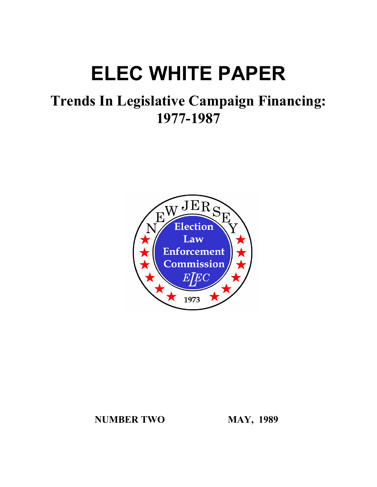# **ELEC WHITE PAPER**

## **Trends In Legislative Campaign Financing: 1977-1987**



**NUMBER TWO MAY, 1989**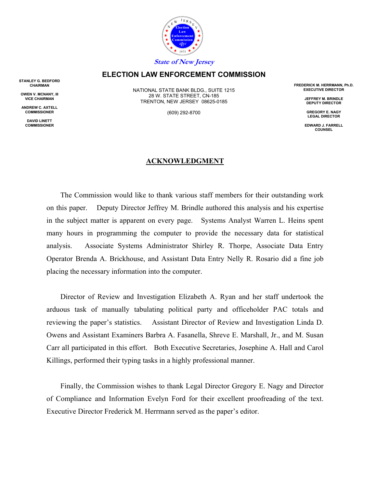

## **ELECTION LAW ENFORCEMENT COMMISSION**

**STANLEY G. BEDFORD CHAIRMAN**

**OWEN V. MCNANY, III VICE CHAIRMAN**

**ANDREW C. AXTELL COMMISSIONER**

> **DAVID LINETT COMMISSIONER**

NATIONAL STATE BANK BLDG., SUITE 1215 28 W. STATE STREET, CN-185 TRENTON, NEW JERSEY 08625-0185

(609) 292-8700

#### **ACKNOWLEDGMENT**

The Commission would like to thank various staff members for their outstanding work on this paper. Deputy Director Jeffrey M. Brindle authored this analysis and his expertise in the subject matter is apparent on every page. Systems Analyst Warren L. Heins spent many hours in programming the computer to provide the necessary data for statistical analysis. Associate Systems Administrator Shirley R. Thorpe, Associate Data Entry Operator Brenda A. Brickhouse, and Assistant Data Entry Nelly R. Rosario did a fine job placing the necessary information into the computer.

Director of Review and Investigation Elizabeth A. Ryan and her staff undertook the arduous task of manually tabulating political party and officeholder PAC totals and reviewing the paper's statistics. Assistant Director of Review and Investigation Linda D. Owens and Assistant Examiners Barbra A. Fasanella, Shreve E. Marshall, Jr., and M. Susan Carr all participated in this effort. Both Executive Secretaries, Josephine A. Hall and Carol Killings, performed their typing tasks in a highly professional manner.

Finally, the Commission wishes to thank Legal Director Gregory E. Nagy and Director of Compliance and Information Evelyn Ford for their excellent proofreading of the text. Executive Director Frederick M. Herrmann served as the paper's editor.

**FREDERICK M. HERRMANN, Ph.D. EXECUTIVE DIRECTOR**

> **JEFFREY M. BRINDLE DEPUTY DIRECTOR**

**GREGORY E. NAGY LEGAL DIRECTOR**

**EDWARD J. FARRELL COUNSEL**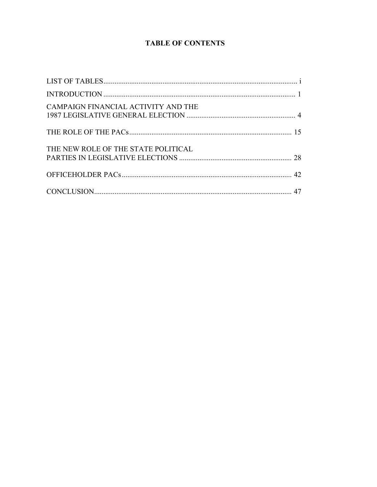## **TABLE OF CONTENTS**

| CAMPAIGN FINANCIAL ACTIVITY AND THE |  |
|-------------------------------------|--|
|                                     |  |
| THE NEW ROLE OF THE STATE POLITICAL |  |
|                                     |  |
|                                     |  |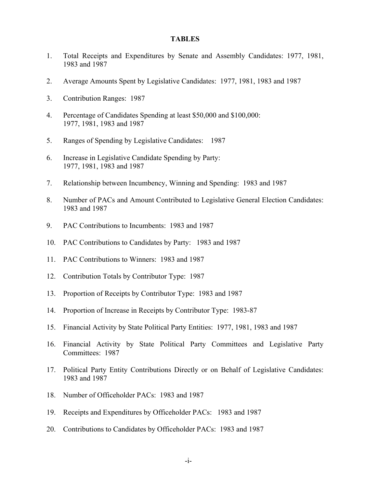#### **TABLES**

- 1. Total Receipts and Expenditures by Senate and Assembly Candidates: 1977, 1981, 1983 and 1987
- 2. Average Amounts Spent by Legislative Candidates: 1977, 1981, 1983 and 1987
- 3. Contribution Ranges: 1987
- 4. Percentage of Candidates Spending at least \$50,000 and \$100,000: 1977, 1981, 1983 and 1987
- 5. Ranges of Spending by Legislative Candidates: 1987
- 6. Increase in Legislative Candidate Spending by Party: 1977, 1981, 1983 and 1987
- 7. Relationship between Incumbency, Winning and Spending: 1983 and 1987
- 8. Number of PACs and Amount Contributed to Legislative General Election Candidates: 1983 and 1987
- 9. PAC Contributions to Incumbents: 1983 and 1987
- 10. PAC Contributions to Candidates by Party: 1983 and 1987
- 11. PAC Contributions to Winners: 1983 and 1987
- 12. Contribution Totals by Contributor Type: 1987
- 13. Proportion of Receipts by Contributor Type: 1983 and 1987
- 14. Proportion of Increase in Receipts by Contributor Type: 1983-87
- 15. Financial Activity by State Political Party Entities: 1977, 1981, 1983 and 1987
- 16. Financial Activity by State Political Party Committees and Legislative Party Committees: 1987
- 17. Political Party Entity Contributions Directly or on Behalf of Legislative Candidates: 1983 and 1987
- 18. Number of Officeholder PACs: 1983 and 1987
- 19. Receipts and Expenditures by Officeholder PACs: 1983 and 1987
- 20. Contributions to Candidates by Officeholder PACs: 1983 and 1987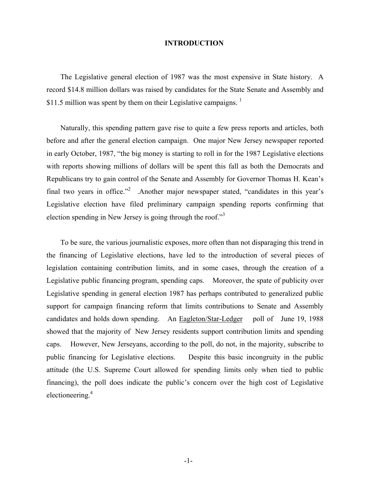#### **INTRODUCTION**

The Legislative general election of 1987 was the most expensive in State history. A record \$14.8 million dollars was raised by candidates for the State Senate and Assembly and \$11.5 million was spent by them on their Legislative campaigns.  $<sup>1</sup>$ </sup>

Naturally, this spending pattern gave rise to quite a few press reports and articles, both before and after the general election campaign. One major New Jersey newspaper reported in early October, 1987, "the big money is starting to roll in for the 1987 Legislative elections with reports showing millions of dollars will be spent this fall as both the Democrats and Republicans try to gain control of the Senate and Assembly for Governor Thomas H. Kean's final two years in office."<sup>2</sup> .Another major newspaper stated, "candidates in this year's Legislative election have filed preliminary campaign spending reports confirming that election spending in New Jersey is going through the roof."<sup>3</sup>

To be sure, the various journalistic exposes, more often than not disparaging this trend in the financing of Legislative elections, have led to the introduction of several pieces of legislation containing contribution limits, and in some cases, through the creation of a Legislative public financing program, spending caps. Moreover, the spate of publicity over Legislative spending in general election 1987 has perhaps contributed to generalized public support for campaign financing reform that limits contributions to Senate and Assembly candidates and holds down spending. An Eagleton/Star-Ledger poll of June 19, 1988 showed that the majority of New Jersey residents support contribution limits and spending caps. However, New Jerseyans, according to the poll, do not, in the majority, subscribe to public financing for Legislative elections. Despite this basic incongruity in the public attitude (the U.S. Supreme Court allowed for spending limits only when tied to public financing), the poll does indicate the public's concern over the high cost of Legislative electioneering.4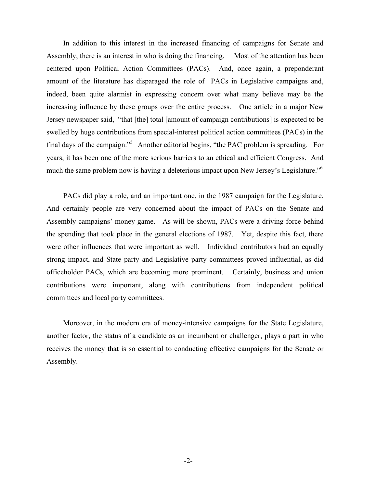In addition to this interest in the increased financing of campaigns for Senate and Assembly, there is an interest in who is doing the financing. Most of the attention has been centered upon Political Action Committees (PACs). And, once again, a preponderant amount of the literature has disparaged the role of PACs in Legislative campaigns and, indeed, been quite alarmist in expressing concern over what many believe may be the increasing influence by these groups over the entire process. One article in a major New Jersey newspaper said, "that [the] total [amount of campaign contributions] is expected to be swelled by huge contributions from special-interest political action committees (PACs) in the final days of the campaign."5 Another editorial begins, "the PAC problem is spreading. For years, it has been one of the more serious barriers to an ethical and efficient Congress. And much the same problem now is having a deleterious impact upon New Jersey's Legislature."<sup>6</sup>

PACs did play a role, and an important one, in the 1987 campaign for the Legislature. And certainly people are very concerned about the impact of PACs on the Senate and Assembly campaigns' money game. As will be shown, PACs were a driving force behind the spending that took place in the general elections of 1987. Yet, despite this fact, there were other influences that were important as well. Individual contributors had an equally strong impact, and State party and Legislative party committees proved influential, as did officeholder PACs, which are becoming more prominent. Certainly, business and union contributions were important, along with contributions from independent political committees and local party committees.

Moreover, in the modern era of money-intensive campaigns for the State Legislature, another factor, the status of a candidate as an incumbent or challenger, plays a part in who receives the money that is so essential to conducting effective campaigns for the Senate or Assembly.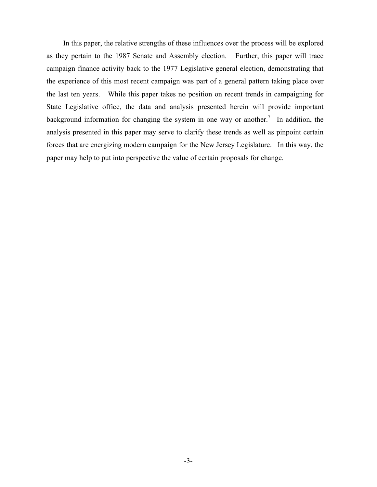In this paper, the relative strengths of these influences over the process will be explored as they pertain to the 1987 Senate and Assembly election. Further, this paper will trace campaign finance activity back to the 1977 Legislative general election, demonstrating that the experience of this most recent campaign was part of a general pattern taking place over the last ten years. While this paper takes no position on recent trends in campaigning for State Legislative office, the data and analysis presented herein will provide important background information for changing the system in one way or another.<sup>7</sup> In addition, the analysis presented in this paper may serve to clarify these trends as well as pinpoint certain forces that are energizing modern campaign for the New Jersey Legislature. In this way, the paper may help to put into perspective the value of certain proposals for change.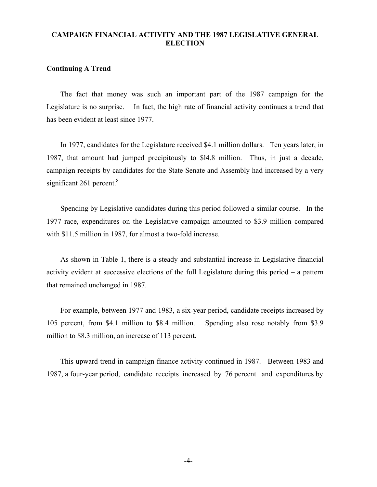## **CAMPAIGN FINANCIAL ACTIVITY AND THE 1987 LEGISLATIVE GENERAL ELECTION**

## **Continuing A Trend**

The fact that money was such an important part of the 1987 campaign for the Legislature is no surprise. In fact, the high rate of financial activity continues a trend that has been evident at least since 1977.

In 1977, candidates for the Legislature received \$4.1 million dollars. Ten years later, in 1987, that amount had jumped precipitously to \$l4.8 million. Thus, in just a decade, campaign receipts by candidates for the State Senate and Assembly had increased by a very significant  $261$  percent.<sup>8</sup>

Spending by Legislative candidates during this period followed a similar course. In the 1977 race, expenditures on the Legislative campaign amounted to \$3.9 million compared with \$11.5 million in 1987, for almost a two-fold increase.

As shown in Table 1, there is a steady and substantial increase in Legislative financial activity evident at successive elections of the full Legislature during this period – a pattern that remained unchanged in 1987.

For example, between 1977 and 1983, a six-year period, candidate receipts increased by 105 percent, from \$4.1 million to \$8.4 million. Spending also rose notably from \$3.9 million to \$8.3 million, an increase of 113 percent.

This upward trend in campaign finance activity continued in 1987. Between 1983 and 1987, a four-year period, candidate receipts increased by 76 percent and expenditures by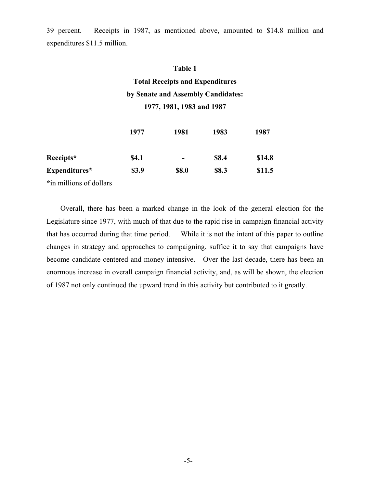39 percent. Receipts in 1987, as mentioned above, amounted to \$14.8 million and expenditures \$11.5 million.

## **Table 1**

## **Total Receipts and Expenditures by Senate and Assembly Candidates: 1977, 1981, 1983 and 1987**

|               | 1977         | 1981                     | 1983  | 1987   |
|---------------|--------------|--------------------------|-------|--------|
| Receipts*     | <b>\$4.1</b> | $\overline{\phantom{0}}$ | \$8.4 | \$14.8 |
| Expenditures* | \$3.9        | \$8.0                    | \$8.3 | \$11.5 |

**\***in millions of dollars

Overall, there has been a marked change in the look of the general election for the Legislature since 1977, with much of that due to the rapid rise in campaign financial activity that has occurred during that time period. While it is not the intent of this paper to outline changes in strategy and approaches to campaigning, suffice it to say that campaigns have become candidate centered and money intensive. Over the last decade, there has been an enormous increase in overall campaign financial activity, and, as will be shown, the election of 1987 not only continued the upward trend in this activity but contributed to it greatly.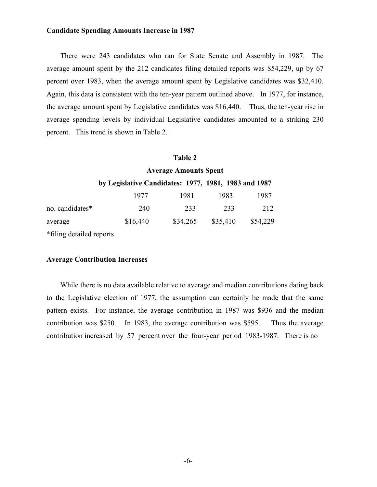## **Candidate Spending Amounts Increase in 1987**

There were 243 candidates who ran for State Senate and Assembly in 1987. The average amount spent by the 212 candidates filing detailed reports was \$54,229, up by 67 percent over 1983, when the average amount spent by Legislative candidates was \$32,410. Again, this data is consistent with the ten-year pattern outlined above. In 1977, for instance, the average amount spent by Legislative candidates was \$16,440. Thus, the ten-year rise in average spending levels by individual Legislative candidates amounted to a striking 230 percent. This trend is shown in Table 2.

#### **Table 2**

|                          | <b>Average Amounts Spent</b>                         |          |          |          |  |
|--------------------------|------------------------------------------------------|----------|----------|----------|--|
|                          | by Legislative Candidates: 1977, 1981, 1983 and 1987 |          |          |          |  |
|                          | 1977                                                 | 1981     | 1983     | 1987     |  |
| no. candidates*          | 240                                                  | 233      | 233      | 212      |  |
| average                  | \$16,440                                             | \$34,265 | \$35,410 | \$54,229 |  |
| *filing detailed reports |                                                      |          |          |          |  |

#### **Average Contribution Increases**

While there is no data available relative to average and median contributions dating back to the Legislative election of 1977, the assumption can certainly be made that the same pattern exists. For instance, the average contribution in 1987 was \$936 and the median contribution was \$250. In 1983, the average contribution was \$595. Thus the average contribution increased by 57 percent over the four-year period 1983-1987. There is no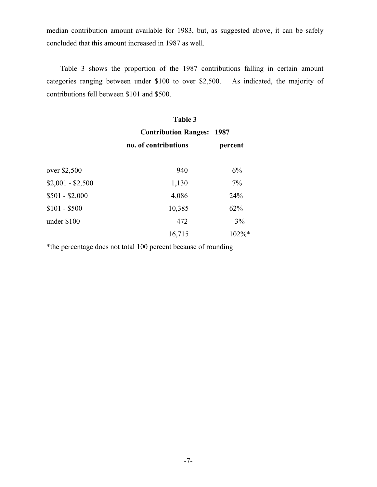median contribution amount available for 1983, but, as suggested above, it can be safely concluded that this amount increased in 1987 as well.

Table 3 shows the proportion of the 1987 contributions falling in certain amount categories ranging between under \$100 to over \$2,500. As indicated, the majority of contributions fell between \$101 and \$500.

|                   | Table 3                     |          |  |
|-------------------|-----------------------------|----------|--|
|                   | <b>Contribution Ranges:</b> | 1987     |  |
|                   | no. of contributions        | percent  |  |
| over \$2,500      | 940                         | 6%       |  |
| $$2,001 - $2,500$ | 1,130                       | 7%       |  |
| $$501 - $2,000$   | 4,086                       | 24%      |  |
| $$101 - $500$     | 10,385                      | 62%      |  |
| under \$100       | 472                         | $3\%$    |  |
|                   | 16,715                      | $102\%*$ |  |

\*the percentage does not total 100 percent because of rounding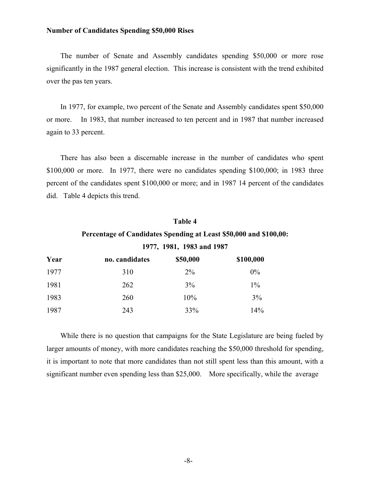## **Number of Candidates Spending \$50,000 Rises**

The number of Senate and Assembly candidates spending \$50,000 or more rose significantly in the 1987 general election. This increase is consistent with the trend exhibited over the pas ten years.

In 1977, for example, two percent of the Senate and Assembly candidates spent \$50,000 or more. In 1983, that number increased to ten percent and in 1987 that number increased again to 33 percent.

There has also been a discernable increase in the number of candidates who spent \$100,000 or more. In 1977, there were no candidates spending \$100,000; in 1983 three percent of the candidates spent \$100,000 or more; and in 1987 14 percent of the candidates did. Table 4 depicts this trend.

## **Table 4 Percentage of Candidates Spending at Least \$50,000 and \$100,00: 1977, 1981, 1983 and 1987**

| Year | no. candidates | \$50,000 | \$100,000 |
|------|----------------|----------|-----------|
| 1977 | 310            | $2\%$    | $0\%$     |
| 1981 | 262            | $3\%$    | $1\%$     |
| 1983 | 260            | 10%      | 3%        |
| 1987 | 243            | 33%      | 14%       |

While there is no question that campaigns for the State Legislature are being fueled by larger amounts of money, with more candidates reaching the \$50,000 threshold for spending, it is important to note that more candidates than not still spent less than this amount, with a significant number even spending less than \$25,000. More specifically, while the average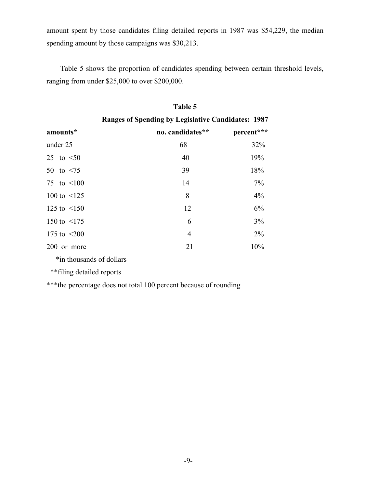amount spent by those candidates filing detailed reports in 1987 was \$54,229, the median spending amount by those campaigns was \$30,213.

Table 5 shows the proportion of candidates spending between certain threshold levels, ranging from under \$25,000 to over \$200,000.

|                   | <b>Ranges of Spending by Legislative Candidates: 1987</b> |            |  |  |
|-------------------|-----------------------------------------------------------|------------|--|--|
| amounts*          | no. candidates**                                          | percent*** |  |  |
| under 25          | 68                                                        | 32%        |  |  |
| 25 to $\leq 50$   | 40                                                        | 19%        |  |  |
| 50 to $\leq 75$   | 39                                                        | 18%        |  |  |
| 75 to $\leq 100$  | 14                                                        | 7%         |  |  |
| 100 to $\leq 125$ | 8                                                         | 4%         |  |  |
| 125 to $\leq 150$ | 12                                                        | 6%         |  |  |
| 150 to $\leq$ 175 | 6                                                         | 3%         |  |  |
| 175 to $\leq 200$ | 4                                                         | $2\%$      |  |  |
| 200 or more       | 21                                                        | 10%        |  |  |
|                   |                                                           |            |  |  |

## **Table 5**

\*in thousands of dollars

\*\*filing detailed reports

\*\*\*the percentage does not total 100 percent because of rounding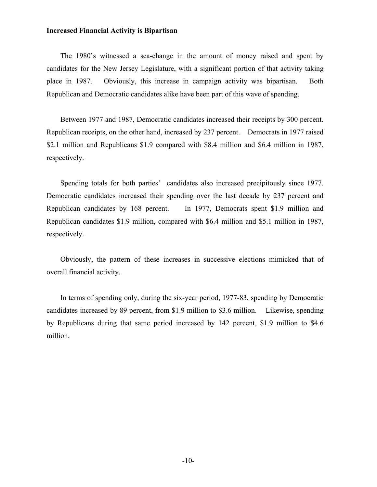## **Increased Financial Activity is Bipartisan**

The 1980's witnessed a sea-change in the amount of money raised and spent by candidates for the New Jersey Legislature, with a significant portion of that activity taking place in 1987. Obviously, this increase in campaign activity was bipartisan. Both Republican and Democratic candidates alike have been part of this wave of spending.

Between 1977 and 1987, Democratic candidates increased their receipts by 300 percent. Republican receipts, on the other hand, increased by 237 percent. Democrats in 1977 raised \$2.1 million and Republicans \$1.9 compared with \$8.4 million and \$6.4 million in 1987, respectively.

Spending totals for both parties' candidates also increased precipitously since 1977. Democratic candidates increased their spending over the last decade by 237 percent and Republican candidates by 168 percent. In 1977, Democrats spent \$1.9 million and Republican candidates \$1.9 million, compared with \$6.4 million and \$5.1 million in 1987, respectively.

Obviously, the pattern of these increases in successive elections mimicked that of overall financial activity.

In terms of spending only, during the six-year period, 1977-83, spending by Democratic candidates increased by 89 percent, from \$1.9 million to \$3.6 million. Likewise, spending by Republicans during that same period increased by 142 percent, \$1.9 million to \$4.6 million.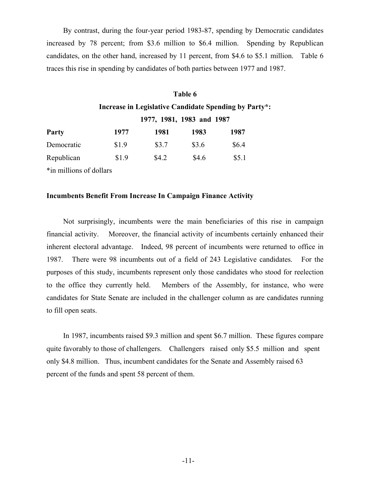By contrast, during the four-year period 1983-87, spending by Democratic candidates increased by 78 percent; from \$3.6 million to \$6.4 million. Spending by Republican candidates, on the other hand, increased by 11 percent, from \$4.6 to \$5.1 million. Table 6 traces this rise in spending by candidates of both parties between 1977 and 1987.

## **Table 6 Increase in Legislative Candidate Spending by Party\*: 1977, 1981, 1983 and 1987**

| <b>Party</b> | 1977  | 1981  | 1983  | 1987  |
|--------------|-------|-------|-------|-------|
| Democratic   | \$1.9 | \$3.7 | \$3.6 | \$6.4 |
| Republican   | \$1.9 | \$4.2 | \$4.6 | \$5.1 |
|              |       |       |       |       |

\*in millions of dollars

## **Incumbents Benefit From Increase In Campaign Finance Activity**

Not surprisingly, incumbents were the main beneficiaries of this rise in campaign financial activity. Moreover, the financial activity of incumbents certainly enhanced their inherent electoral advantage. Indeed, 98 percent of incumbents were returned to office in 1987. There were 98 incumbents out of a field of 243 Legislative candidates. For the purposes of this study, incumbents represent only those candidates who stood for reelection to the office they currently held. Members of the Assembly, for instance, who were candidates for State Senate are included in the challenger column as are candidates running to fill open seats.

In 1987, incumbents raised \$9.3 million and spent \$6.7 million. These figures compare quite favorably to those of challengers. Challengers raised only \$5.5 million and spent only \$4.8 million. Thus, incumbent candidates for the Senate and Assembly raised 63 percent of the funds and spent 58 percent of them.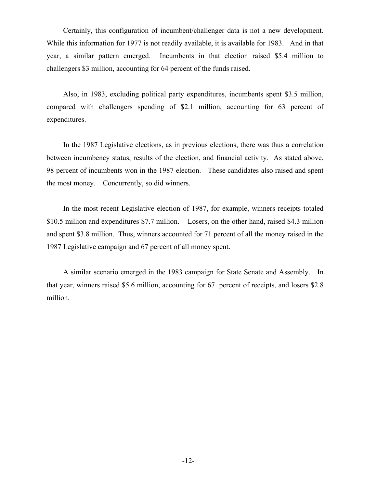Certainly, this configuration of incumbent/challenger data is not a new development. While this information for 1977 is not readily available, it is available for 1983. And in that year, a similar pattern emerged. Incumbents in that election raised \$5.4 million to challengers \$3 million, accounting for 64 percent of the funds raised.

Also, in 1983, excluding political party expenditures, incumbents spent \$3.5 million, compared with challengers spending of \$2.1 million, accounting for 63 percent of expenditures.

In the 1987 Legislative elections, as in previous elections, there was thus a correlation between incumbency status, results of the election, and financial activity. As stated above, 98 percent of incumbents won in the 1987 election. These candidates also raised and spent the most money. Concurrently, so did winners.

In the most recent Legislative election of 1987, for example, winners receipts totaled \$10.5 million and expenditures \$7.7 million. Losers, on the other hand, raised \$4.3 million and spent \$3.8 million. Thus, winners accounted for 71 percent of all the money raised in the 1987 Legislative campaign and 67 percent of all money spent.

A similar scenario emerged in the 1983 campaign for State Senate and Assembly. In that year, winners raised \$5.6 million, accounting for 67 percent of receipts, and losers \$2.8 million.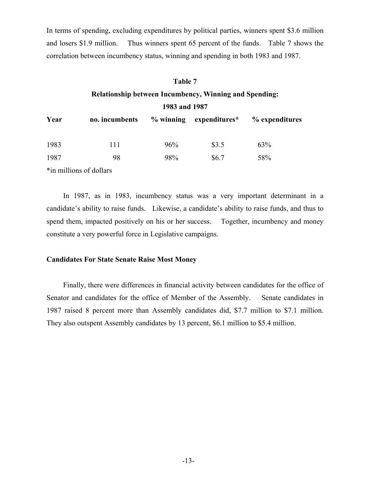In terms of spending, excluding expenditures by political parties, winners spent \$3.6 million and losers \$1.9 million. Thus winners spent 65 percent of the funds. Table 7 shows the correlation between incumbency status, winning and spending in both 1983 and 1987.

#### **Table 7**

## **Relationship between Incumbency, Winning and Spending:**

**1983 and 1987** 

| Year | no. incumbents |     | $\%$ winning expenditures* | % expenditures |
|------|----------------|-----|----------------------------|----------------|
| 1983 | 111            | 96% | \$3.5                      | 63%            |
| 1987 | 98             | 98% | \$6.7                      | 58%            |

\*in millions of dollars

In 1987, as in 1983, incumbency status was a very important determinant in a candidate's ability to raise funds. Likewise, a candidate's ability to raise funds, and thus to spend them, impacted positively on his or her success. Together, incumbency and money constitute a very powerful force in Legislative campaigns.

### **Candidates For State Senate Raise Most Money**

Finally, there were differences in financial activity between candidates for the office of Senator and candidates for the office of Member of the Assembly. Senate candidates in 1987 raised 8 percent more than Assembly candidates did, \$7.7 million to \$7.1 million. They also outspent Assembly candidates by 13 percent, \$6.1 million to \$5.4 million.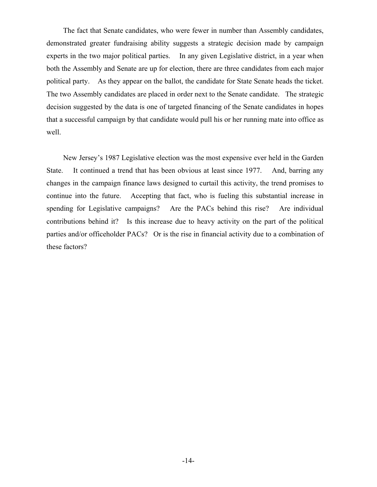The fact that Senate candidates, who were fewer in number than Assembly candidates, demonstrated greater fundraising ability suggests a strategic decision made by campaign experts in the two major political parties. In any given Legislative district, in a year when both the Assembly and Senate are up for election, there are three candidates from each major political party. As they appear on the ballot, the candidate for State Senate heads the ticket. The two Assembly candidates are placed in order next to the Senate candidate. The strategic decision suggested by the data is one of targeted financing of the Senate candidates in hopes that a successful campaign by that candidate would pull his or her running mate into office as well.

New Jersey's 1987 Legislative election was the most expensive ever held in the Garden State. It continued a trend that has been obvious at least since 1977. And, barring any changes in the campaign finance laws designed to curtail this activity, the trend promises to continue into the future. Accepting that fact, who is fueling this substantial increase in spending for Legislative campaigns? Are the PACs behind this rise? Are individual contributions behind it? Is this increase due to heavy activity on the part of the political parties and/or officeholder PACs? Or is the rise in financial activity due to a combination of these factors?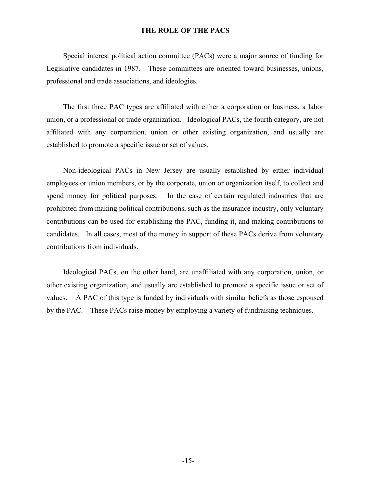## **THE ROLE OF THE PACS**

Special interest political action committee (PACs) were a major source of funding for Legislative candidates in 1987. These committees are oriented toward businesses, unions, professional and trade associations, and ideologies.

The first three PAC types are affiliated with either a corporation or business, a labor union, or a professional or trade organization. Ideological PACs, the fourth category, are not affiliated with any corporation, union or other existing organization, and usually are established to promote a specific issue or set of values.

Non-ideological PACs in New Jersey are usually established by either individual employees or union members, or by the corporate, union or organization itself, to collect and spend money for political purposes. In the case of certain regulated industries that are prohibited from making political contributions, such as the insurance industry, only voluntary contributions can be used for establishing the PAC, funding it, and making contributions to candidates. In all cases, most of the money in support of these PACs derive from voluntary contributions from individuals.

Ideological PACs, on the other hand, are unaffiliated with any corporation, union, or other existing organization, and usually are established to promote a specific issue or set of values. A PAC of this type is funded by individuals with similar beliefs as those espoused by the PAC. These PACs raise money by employing a variety of fundraising techniques.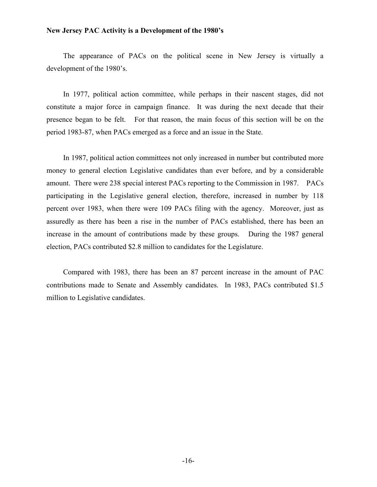## **New Jersey PAC Activity is a Development of the 1980's**

The appearance of PACs on the political scene in New Jersey is virtually a development of the 1980's.

In 1977, political action committee, while perhaps in their nascent stages, did not constitute a major force in campaign finance. It was during the next decade that their presence began to be felt. For that reason, the main focus of this section will be on the period 1983-87, when PACs emerged as a force and an issue in the State.

In 1987, political action committees not only increased in number but contributed more money to general election Legislative candidates than ever before, and by a considerable amount. There were 238 special interest PACs reporting to the Commission in 1987. PACs participating in the Legislative general election, therefore, increased in number by 118 percent over 1983, when there were 109 PACs filing with the agency. Moreover, just as assuredly as there has been a rise in the number of PACs established, there has been an increase in the amount of contributions made by these groups. During the 1987 general election, PACs contributed \$2.8 million to candidates for the Legislature.

Compared with 1983, there has been an 87 percent increase in the amount of PAC contributions made to Senate and Assembly candidates. In 1983, PACs contributed \$1.5 million to Legislative candidates.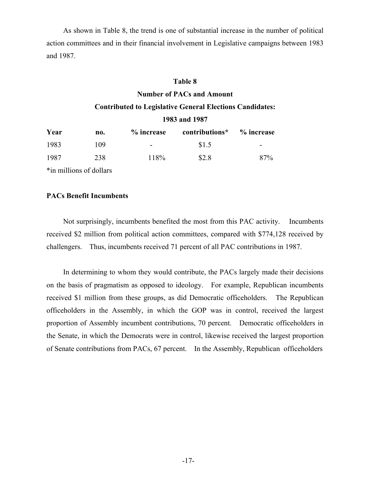As shown in Table 8, the trend is one of substantial increase in the number of political action committees and in their financial involvement in Legislative campaigns between 1983 and 1987.

## **Table 8**

## **Number of PACs and Amount**

## **Contributed to Legislative General Elections Candidates:**

## **1983 and 1987**

| Year | no. | % increase | contributions* | % increase |
|------|-----|------------|----------------|------------|
| 1983 | 109 | -          | \$1.5          | -          |
| 1987 | 238 | 118%       | \$2.8          | 87%        |

\*in millions of dollars

## **PACs Benefit Incumbents**

Not surprisingly, incumbents benefited the most from this PAC activity. Incumbents received \$2 million from political action committees, compared with \$774,128 received by challengers. Thus, incumbents received 71 percent of all PAC contributions in 1987.

In determining to whom they would contribute, the PACs largely made their decisions on the basis of pragmatism as opposed to ideology. For example, Republican incumbents received \$1 million from these groups, as did Democratic officeholders. The Republican officeholders in the Assembly, in which the GOP was in control, received the largest proportion of Assembly incumbent contributions, 70 percent. Democratic officeholders in the Senate, in which the Democrats were in control, likewise received the largest proportion of Senate contributions from PACs, 67 percent. In the Assembly, Republican officeholders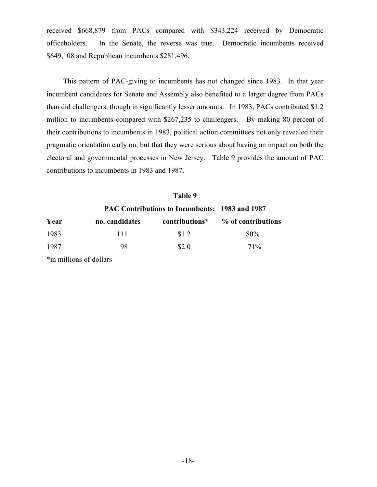received \$668,879 from PACs compared with \$343,224 received by Democratic officeholders. In the Senate, the reverse was true. Democratic incumbents received \$649,108 and Republican incumbents \$281,496.

This pattern of PAC-giving to incumbents has not changed since 1983. In that year incumbent candidates for Senate and Assembly also benefited to a larger degree from PACs than did challengers, though in significantly lesser amounts. In 1983, PACs contributed \$1.2 million to incumbents compared with \$267,235 to challengers. By making 80 percent of their contributions to incumbents in 1983, political action committees not only revealed their pragmatic orientation early on, but that they were serious about having an impact on both the electoral and governmental processes in New Jersey. Table 9 provides the amount of PAC contributions to incumbents in 1983 and 1987.

|      |                | Table 9                                               |                    |  |
|------|----------------|-------------------------------------------------------|--------------------|--|
|      |                | <b>PAC Contributions to Incumbents: 1983 and 1987</b> |                    |  |
| Year | no. candidates | contributions*                                        | % of contributions |  |
| 1983 | 111            | \$1.2                                                 | 80%                |  |
| 1987 | 98             | \$2.0                                                 | 71%                |  |
|      |                |                                                       |                    |  |

\*in millions of dollars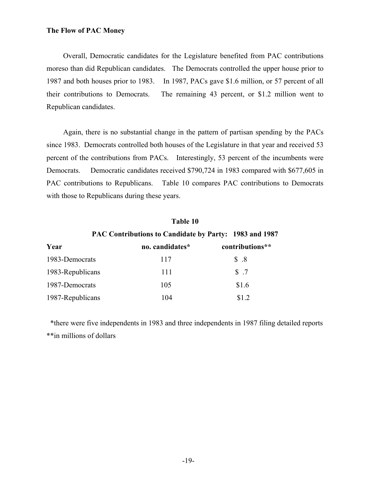## **The Flow of PAC Money**

Overall, Democratic candidates for the Legislature benefited from PAC contributions moreso than did Republican candidates. The Democrats controlled the upper house prior to 1987 and both houses prior to 1983. In 1987, PACs gave \$1.6 million, or 57 percent of all their contributions to Democrats. The remaining 43 percent, or \$1.2 million went to Republican candidates.

Again, there is no substantial change in the pattern of partisan spending by the PACs since 1983. Democrats controlled both houses of the Legislature in that year and received 53 percent of the contributions from PACs. Interestingly, 53 percent of the incumbents were Democrats. Democratic candidates received \$790,724 in 1983 compared with \$677,605 in PAC contributions to Republicans. Table 10 compares PAC contributions to Democrats with those to Republicans during these years.

## **Table 10**

**PAC Contributions to Candidate by Party: 1983 and 1987** 

| Year             | no. candidates* | contributions** |
|------------------|-----------------|-----------------|
| 1983-Democrats   | 117             | \$.8            |
| 1983-Republicans | 111             | $\sqrt{5}$ .7   |
| 1987-Democrats   | 105             | \$1.6           |
| 1987-Republicans | 104             | \$12            |

 \*there were five independents in 1983 and three independents in 1987 filing detailed reports \*\*in millions of dollars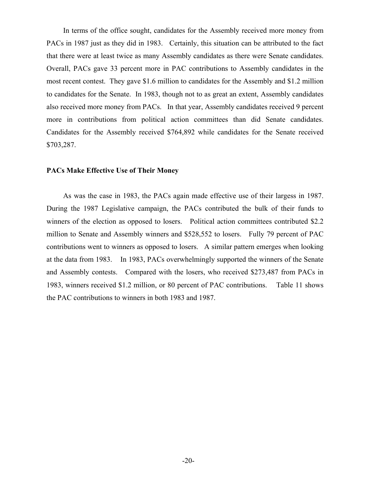In terms of the office sought, candidates for the Assembly received more money from PACs in 1987 just as they did in 1983. Certainly, this situation can be attributed to the fact that there were at least twice as many Assembly candidates as there were Senate candidates. Overall, PACs gave 33 percent more in PAC contributions to Assembly candidates in the most recent contest. They gave \$1.6 million to candidates for the Assembly and \$1.2 million to candidates for the Senate. In 1983, though not to as great an extent, Assembly candidates also received more money from PACs. In that year, Assembly candidates received 9 percent more in contributions from political action committees than did Senate candidates. Candidates for the Assembly received \$764,892 while candidates for the Senate received \$703,287.

#### **PACs Make Effective Use of Their Money**

As was the case in 1983, the PACs again made effective use of their largess in 1987. During the 1987 Legislative campaign, the PACs contributed the bulk of their funds to winners of the election as opposed to losers. Political action committees contributed \$2.2 million to Senate and Assembly winners and \$528,552 to losers. Fully 79 percent of PAC contributions went to winners as opposed to losers. A similar pattern emerges when looking at the data from 1983. In 1983, PACs overwhelmingly supported the winners of the Senate and Assembly contests. Compared with the losers, who received \$273,487 from PACs in 1983, winners received \$1.2 million, or 80 percent of PAC contributions. Table 11 shows the PAC contributions to winners in both 1983 and 1987.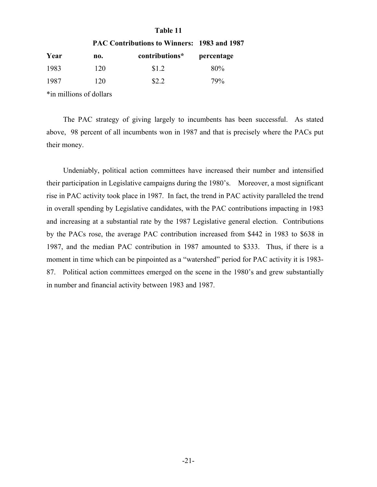## **Table 11**

|       |     | <b>PAC Contributions to Winners: 1983 and 1987</b> |            |
|-------|-----|----------------------------------------------------|------------|
| Year  | no. | contributions*                                     | percentage |
| 1983  | 120 | \$1.2                                              | 80%        |
| -1987 | 120 | \$2.2                                              | 79%        |
|       |     |                                                    |            |

\*in millions of dollars

The PAC strategy of giving largely to incumbents has been successful. As stated above, 98 percent of all incumbents won in 1987 and that is precisely where the PACs put their money.

Undeniably, political action committees have increased their number and intensified their participation in Legislative campaigns during the 1980's. Moreover, a most significant rise in PAC activity took place in 1987. In fact, the trend in PAC activity paralleled the trend in overall spending by Legislative candidates, with the PAC contributions impacting in 1983 and increasing at a substantial rate by the 1987 Legislative general election. Contributions by the PACs rose, the average PAC contribution increased from \$442 in 1983 to \$638 in 1987, and the median PAC contribution in 1987 amounted to \$333. Thus, if there is a moment in time which can be pinpointed as a "watershed" period for PAC activity it is 1983- 87. Political action committees emerged on the scene in the 1980's and grew substantially in number and financial activity between 1983 and 1987.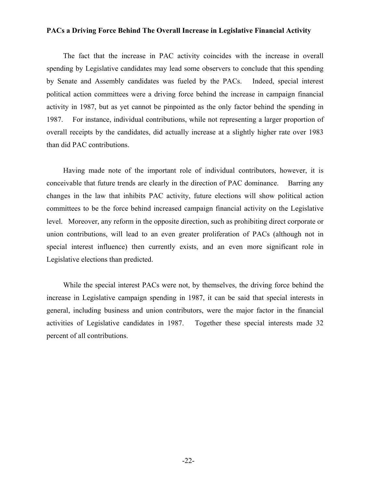## **PACs a Driving Force Behind The Overall Increase in Legislative Financial Activity**

The fact that the increase in PAC activity coincides with the increase in overall spending by Legislative candidates may lead some observers to conclude that this spending by Senate and Assembly candidates was fueled by the PACs. Indeed, special interest political action committees were a driving force behind the increase in campaign financial activity in 1987, but as yet cannot be pinpointed as the only factor behind the spending in 1987. For instance, individual contributions, while not representing a larger proportion of overall receipts by the candidates, did actually increase at a slightly higher rate over 1983 than did PAC contributions.

Having made note of the important role of individual contributors, however, it is conceivable that future trends are clearly in the direction of PAC dominance. Barring any changes in the law that inhibits PAC activity, future elections will show political action committees to be the force behind increased campaign financial activity on the Legislative level. Moreover, any reform in the opposite direction, such as prohibiting direct corporate or union contributions, will lead to an even greater proliferation of PACs (although not in special interest influence) then currently exists, and an even more significant role in Legislative elections than predicted.

While the special interest PACs were not, by themselves, the driving force behind the increase in Legislative campaign spending in 1987, it can be said that special interests in general, including business and union contributors, were the major factor in the financial activities of Legislative candidates in 1987. Together these special interests made 32 percent of all contributions.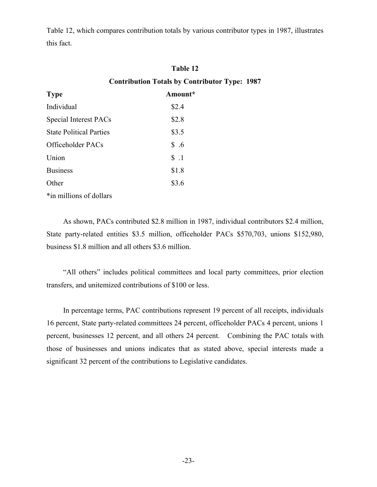Table 12, which compares contribution totals by various contributor types in 1987, illustrates this fact.

## **Table 12 Contribution Totals by Contributor Type: 1987**

| <b>Type</b>                    | Amount* |
|--------------------------------|---------|
| Individual                     | \$2.4   |
| Special Interest PACs          | \$2.8   |
| <b>State Political Parties</b> | \$3.5   |
| Officeholder PACs              | \$.6    |
| Union                          | $\$\,1$ |
| <b>Business</b>                | \$1.8   |
| Other                          | \$3.6   |
|                                |         |

\*in millions of dollars

As shown, PACs contributed \$2.8 million in 1987, individual contributors \$2.4 million, State party-related entities \$3.5 million, officeholder PACs \$570,703, unions \$152,980, business \$1.8 million and all others \$3.6 million.

"All others" includes political committees and local party committees, prior election transfers, and unitemized contributions of \$100 or less.

In percentage terms, PAC contributions represent 19 percent of all receipts, individuals 16 percent, State party-related committees 24 percent, officeholder PACs 4 percent, unions 1 percent, businesses 12 percent, and all others 24 percent. Combining the PAC totals with those of businesses and unions indicates that as stated above, special interests made a significant 32 percent of the contributions to Legislative candidates.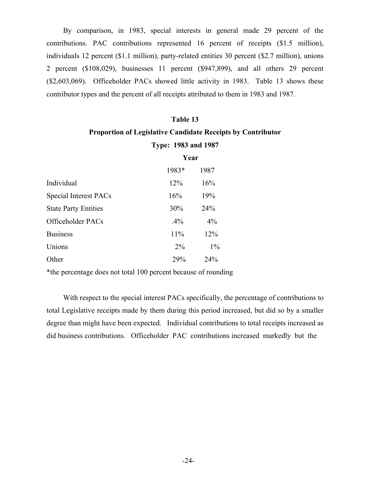By comparison, in 1983, special interests in general made 29 percent of the contributions. PAC contributions represented 16 percent of receipts (\$1.5 million), individuals 12 percent (\$1.1 million), party-related entities 30 percent (\$2.7 million), unions 2 percent (\$108,029), businesses 11 percent (\$947,899), and all others 29 percent (\$2,603,069). Officeholder PACs showed little activity in 1983. Table 13 shows these contributor types and the percent of all receipts attributed to them in 1983 and 1987.

## **Table 13**

## **Proportion of Legislative Candidate Receipts by Contributor**

| Type: 1983 and 1987 |  |  |  |
|---------------------|--|--|--|
|---------------------|--|--|--|

|                             | Year  |       |
|-----------------------------|-------|-------|
|                             | 1983* | 1987  |
| Individual                  | 12%   | 16%   |
| Special Interest PACs       | 16%   | 19%   |
| <b>State Party Entities</b> | 30%   | 24%   |
| Officeholder PACs           | .4%   | 4%    |
| <b>Business</b>             | 11%   | 12%   |
| Unions                      | $2\%$ | $1\%$ |
| Other                       | 29%   | 24%   |

\*the percentage does not total 100 percent because of rounding

With respect to the special interest PACs specifically, the percentage of contributions to total Legislative receipts made by them during this period increased, but did so by a smaller degree than might have been expected. Individual contributions to total receipts increased as did business contributions. Officeholder PAC contributions increased markedly but the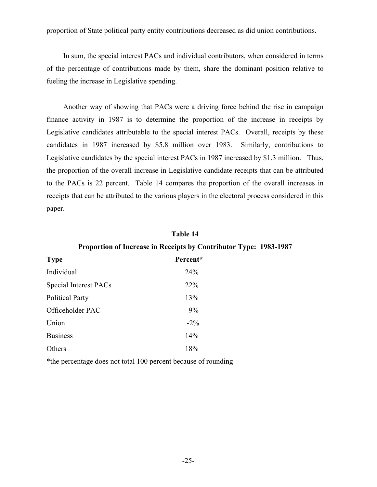proportion of State political party entity contributions decreased as did union contributions.

In sum, the special interest PACs and individual contributors, when considered in terms of the percentage of contributions made by them, share the dominant position relative to fueling the increase in Legislative spending.

Another way of showing that PACs were a driving force behind the rise in campaign finance activity in 1987 is to determine the proportion of the increase in receipts by Legislative candidates attributable to the special interest PACs. Overall, receipts by these candidates in 1987 increased by \$5.8 million over 1983. Similarly, contributions to Legislative candidates by the special interest PACs in 1987 increased by \$1.3 million. Thus, the proportion of the overall increase in Legislative candidate receipts that can be attributed to the PACs is 22 percent. Table 14 compares the proportion of the overall increases in receipts that can be attributed to the various players in the electoral process considered in this paper.

## **Table 14**

## **Proportion of Increase in Receipts by Contributor Type: 1983-1987**

| <b>Type</b>            | Percent* |
|------------------------|----------|
| Individual             | 24%      |
| Special Interest PACs  | 22%      |
| <b>Political Party</b> | 13%      |
| Officeholder PAC       | 9%       |
| Union                  | $-2\%$   |
| <b>Business</b>        | 14%      |
| Others                 | 18%      |

\*the percentage does not total 100 percent because of rounding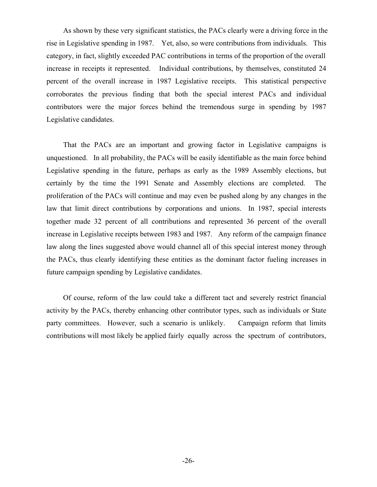As shown by these very significant statistics, the PACs clearly were a driving force in the rise in Legislative spending in 1987. Yet, also, so were contributions from individuals. This category, in fact, slightly exceeded PAC contributions in terms of the proportion of the overall increase in receipts it represented. Individual contributions, by themselves, constituted 24 percent of the overall increase in 1987 Legislative receipts. This statistical perspective corroborates the previous finding that both the special interest PACs and individual contributors were the major forces behind the tremendous surge in spending by 1987 Legislative candidates.

That the PACs are an important and growing factor in Legislative campaigns is unquestioned. In all probability, the PACs will be easily identifiable as the main force behind Legislative spending in the future, perhaps as early as the 1989 Assembly elections, but certainly by the time the 1991 Senate and Assembly elections are completed. The proliferation of the PACs will continue and may even be pushed along by any changes in the law that limit direct contributions by corporations and unions. In 1987, special interests together made 32 percent of all contributions and represented 36 percent of the overall increase in Legislative receipts between 1983 and 1987. Any reform of the campaign finance law along the lines suggested above would channel all of this special interest money through the PACs, thus clearly identifying these entities as the dominant factor fueling increases in future campaign spending by Legislative candidates.

Of course, reform of the law could take a different tact and severely restrict financial activity by the PACs, thereby enhancing other contributor types, such as individuals or State party committees. However, such a scenario is unlikely. Campaign reform that limits contributions will most likely be applied fairly equally across the spectrum of contributors,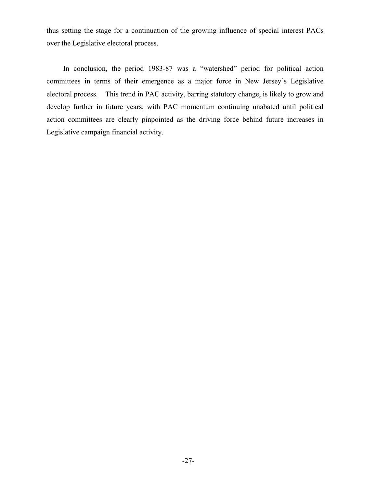thus setting the stage for a continuation of the growing influence of special interest PACs over the Legislative electoral process.

In conclusion, the period 1983-87 was a "watershed" period for political action committees in terms of their emergence as a major force in New Jersey's Legislative electoral process. This trend in PAC activity, barring statutory change, is likely to grow and develop further in future years, with PAC momentum continuing unabated until political action committees are clearly pinpointed as the driving force behind future increases in Legislative campaign financial activity.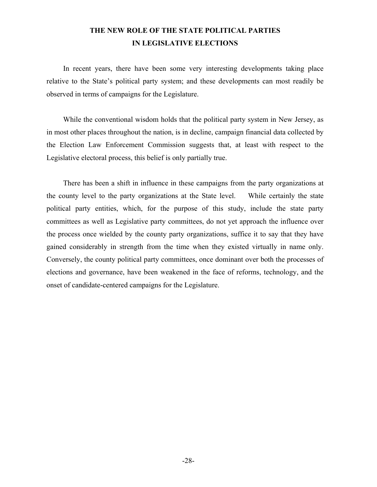## **THE NEW ROLE OF THE STATE POLITICAL PARTIES IN LEGISLATIVE ELECTIONS**

In recent years, there have been some very interesting developments taking place relative to the State's political party system; and these developments can most readily be observed in terms of campaigns for the Legislature.

While the conventional wisdom holds that the political party system in New Jersey, as in most other places throughout the nation, is in decline, campaign financial data collected by the Election Law Enforcement Commission suggests that, at least with respect to the Legislative electoral process, this belief is only partially true.

There has been a shift in influence in these campaigns from the party organizations at the county level to the party organizations at the State level. While certainly the state political party entities, which, for the purpose of this study, include the state party committees as well as Legislative party committees, do not yet approach the influence over the process once wielded by the county party organizations, suffice it to say that they have gained considerably in strength from the time when they existed virtually in name only. Conversely, the county political party committees, once dominant over both the processes of elections and governance, have been weakened in the face of reforms, technology, and the onset of candidate-centered campaigns for the Legislature.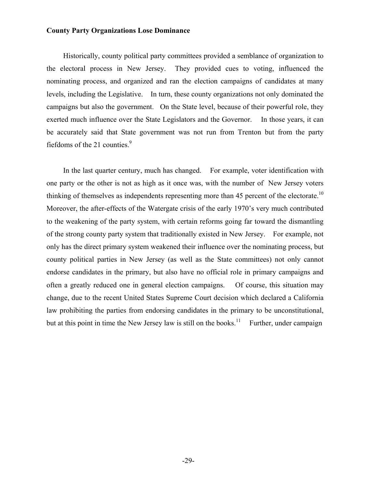## **County Party Organizations Lose Dominance**

Historically, county political party committees provided a semblance of organization to the electoral process in New Jersey. They provided cues to voting, influenced the nominating process, and organized and ran the election campaigns of candidates at many levels, including the Legislative. In turn, these county organizations not only dominated the campaigns but also the government. On the State level, because of their powerful role, they exerted much influence over the State Legislators and the Governor. In those years, it can be accurately said that State government was not run from Trenton but from the party fiefdoms of the 21 counties. $\frac{9}{2}$ 

In the last quarter century, much has changed. For example, voter identification with one party or the other is not as high as it once was, with the number of New Jersey voters thinking of themselves as independents representing more than 45 percent of the electorate.<sup>10</sup> Moreover, the after-effects of the Watergate crisis of the early 1970's very much contributed to the weakening of the party system, with certain reforms going far toward the dismantling of the strong county party system that traditionally existed in New Jersey. For example, not only has the direct primary system weakened their influence over the nominating process, but county political parties in New Jersey (as well as the State committees) not only cannot endorse candidates in the primary, but also have no official role in primary campaigns and often a greatly reduced one in general election campaigns. Of course, this situation may change, due to the recent United States Supreme Court decision which declared a California law prohibiting the parties from endorsing candidates in the primary to be unconstitutional, but at this point in time the New Jersey law is still on the books.<sup>11</sup> Further, under campaign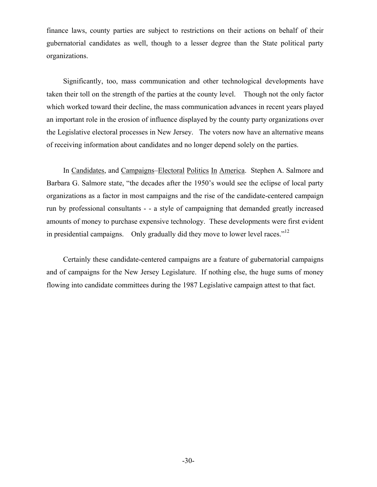finance laws, county parties are subject to restrictions on their actions on behalf of their gubernatorial candidates as well, though to a lesser degree than the State political party organizations.

Significantly, too, mass communication and other technological developments have taken their toll on the strength of the parties at the county level. Though not the only factor which worked toward their decline, the mass communication advances in recent years played an important role in the erosion of influence displayed by the county party organizations over the Legislative electoral processes in New Jersey. The voters now have an alternative means of receiving information about candidates and no longer depend solely on the parties.

In Candidates, and Campaigns–Electoral Politics In America. Stephen A. Salmore and Barbara G. Salmore state, "the decades after the 1950's would see the eclipse of local party organizations as a factor in most campaigns and the rise of the candidate-centered campaign run by professional consultants - - a style of campaigning that demanded greatly increased amounts of money to purchase expensive technology. These developments were first evident in presidential campaigns. Only gradually did they move to lower level races." $12$ 

Certainly these candidate-centered campaigns are a feature of gubernatorial campaigns and of campaigns for the New Jersey Legislature. If nothing else, the huge sums of money flowing into candidate committees during the 1987 Legislative campaign attest to that fact.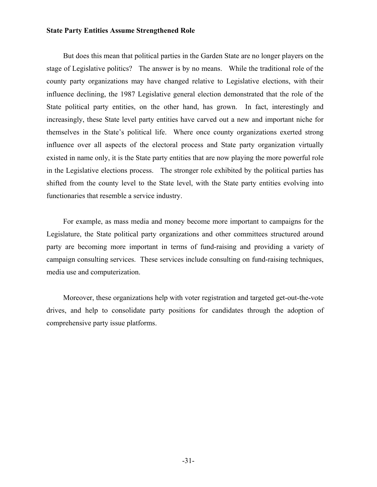#### **State Party Entities Assume Strengthened Role**

But does this mean that political parties in the Garden State are no longer players on the stage of Legislative politics? The answer is by no means. While the traditional role of the county party organizations may have changed relative to Legislative elections, with their influence declining, the 1987 Legislative general election demonstrated that the role of the State political party entities, on the other hand, has grown. In fact, interestingly and increasingly, these State level party entities have carved out a new and important niche for themselves in the State's political life. Where once county organizations exerted strong influence over all aspects of the electoral process and State party organization virtually existed in name only, it is the State party entities that are now playing the more powerful role in the Legislative elections process. The stronger role exhibited by the political parties has shifted from the county level to the State level, with the State party entities evolving into functionaries that resemble a service industry.

For example, as mass media and money become more important to campaigns for the Legislature, the State political party organizations and other committees structured around party are becoming more important in terms of fund-raising and providing a variety of campaign consulting services. These services include consulting on fund-raising techniques, media use and computerization.

Moreover, these organizations help with voter registration and targeted get-out-the-vote drives, and help to consolidate party positions for candidates through the adoption of comprehensive party issue platforms.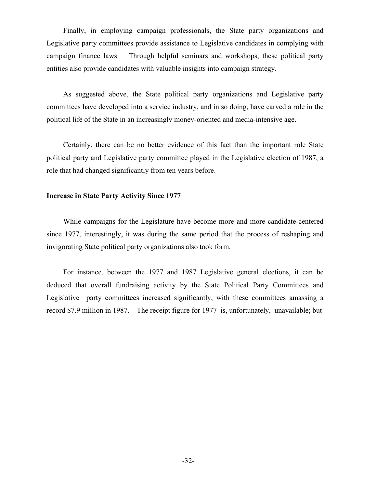Finally, in employing campaign professionals, the State party organizations and Legislative party committees provide assistance to Legislative candidates in complying with campaign finance laws. Through helpful seminars and workshops, these political party entities also provide candidates with valuable insights into campaign strategy.

As suggested above, the State political party organizations and Legislative party committees have developed into a service industry, and in so doing, have carved a role in the political life of the State in an increasingly money-oriented and media-intensive age.

Certainly, there can be no better evidence of this fact than the important role State political party and Legislative party committee played in the Legislative election of 1987, a role that had changed significantly from ten years before.

## **Increase in State Party Activity Since 1977**

While campaigns for the Legislature have become more and more candidate-centered since 1977, interestingly, it was during the same period that the process of reshaping and invigorating State political party organizations also took form.

For instance, between the 1977 and 1987 Legislative general elections, it can be deduced that overall fundraising activity by the State Political Party Committees and Legislative party committees increased significantly, with these committees amassing a record \$7.9 million in 1987. The receipt figure for 1977 is, unfortunately, unavailable; but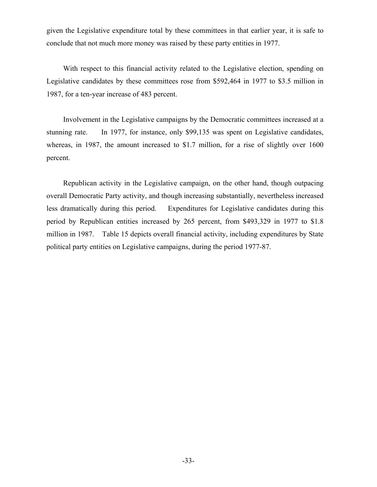given the Legislative expenditure total by these committees in that earlier year, it is safe to conclude that not much more money was raised by these party entities in 1977.

With respect to this financial activity related to the Legislative election, spending on Legislative candidates by these committees rose from \$592,464 in 1977 to \$3.5 million in 1987, for a ten-year increase of 483 percent.

Involvement in the Legislative campaigns by the Democratic committees increased at a stunning rate. In 1977, for instance, only \$99,135 was spent on Legislative candidates, whereas, in 1987, the amount increased to \$1.7 million, for a rise of slightly over 1600 percent.

Republican activity in the Legislative campaign, on the other hand, though outpacing overall Democratic Party activity, and though increasing substantially, nevertheless increased less dramatically during this period. Expenditures for Legislative candidates during this period by Republican entities increased by 265 percent, from \$493,329 in 1977 to \$1.8 million in 1987. Table 15 depicts overall financial activity, including expenditures by State political party entities on Legislative campaigns, during the period 1977-87.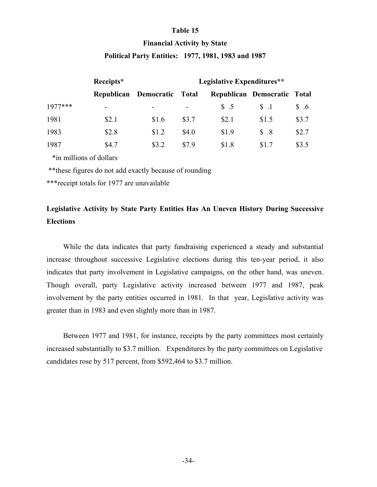## **Table 15**

## **Financial Activity by State Political Party Entities: 1977, 1981, 1983 and 1987**

|           | Receipts*         |            | Legislative Expenditures** |                |                             |             |
|-----------|-------------------|------------|----------------------------|----------------|-----------------------------|-------------|
|           | <b>Republican</b> | Democratic | Total                      |                | Republican Democratic Total |             |
| $1977***$ | -                 |            | $\overline{\phantom{a}}$   | $\text{\$}$ .5 | $S_{\cdot}$ .1              | $\delta$ .6 |
| 1981      | \$2.1             | \$1.6      | \$3.7                      | \$2.1          | \$1.5                       | \$3.7       |
| 1983      | \$2.8             | \$1.2      | \$4.0                      | \$1.9          | $\text{\AA}$ .8             | \$2.7       |
| 1987      | \$4.7             | \$3.2      | \$7.9                      | \$1.8          | \$1.7                       | \$3.5       |

\*in millions of dollars

\*\*these figures do not add exactly because of rounding

\*\*\*receipt totals for 1977 are unavailable

## **Legislative Activity by State Party Entities Has An Uneven History During Successive Elections**

While the data indicates that party fundraising experienced a steady and substantial increase throughout successive Legislative elections during this ten-year period, it also indicates that party involvement in Legislative campaigns, on the other hand, was uneven. Though overall, party Legislative activity increased between 1977 and 1987, peak involvement by the party entities occurred in 1981. In that year, Legislative activity was greater than in 1983 and even slightly more than in 1987.

Between 1977 and 1981, for instance, receipts by the party committees most certainly increased substantially to \$3.7 million. Expenditures by the party committees on Legislative candidates rose by 517 percent, from \$592,464 to \$3.7 million.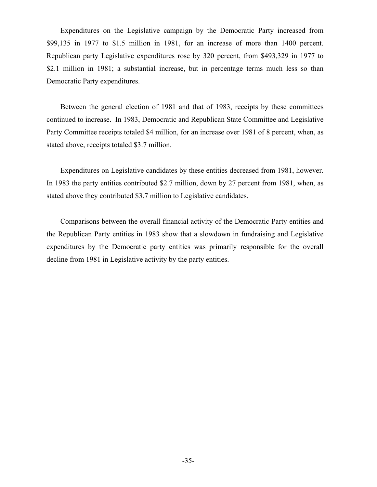Expenditures on the Legislative campaign by the Democratic Party increased from \$99,135 in 1977 to \$1.5 million in 1981, for an increase of more than 1400 percent. Republican party Legislative expenditures rose by 320 percent, from \$493,329 in 1977 to \$2.1 million in 1981; a substantial increase, but in percentage terms much less so than Democratic Party expenditures.

Between the general election of 1981 and that of 1983, receipts by these committees continued to increase. In 1983, Democratic and Republican State Committee and Legislative Party Committee receipts totaled \$4 million, for an increase over 1981 of 8 percent, when, as stated above, receipts totaled \$3.7 million.

Expenditures on Legislative candidates by these entities decreased from 1981, however. In 1983 the party entities contributed \$2.7 million, down by 27 percent from 1981, when, as stated above they contributed \$3.7 million to Legislative candidates.

Comparisons between the overall financial activity of the Democratic Party entities and the Republican Party entities in 1983 show that a slowdown in fundraising and Legislative expenditures by the Democratic party entities was primarily responsible for the overall decline from 1981 in Legislative activity by the party entities.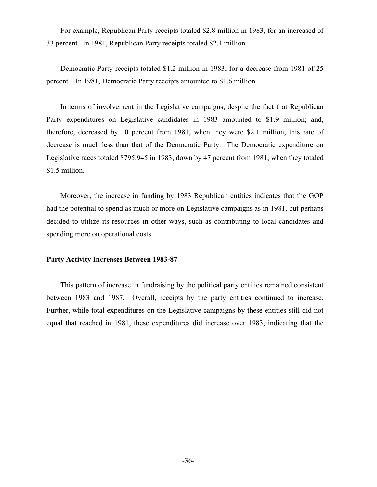For example, Republican Party receipts totaled \$2.8 million in 1983, for an increased of 33 percent. In 1981, Republican Party receipts totaled \$2.1 million.

Democratic Party receipts totaled \$1.2 million in 1983, for a decrease from 1981 of 25 percent. In 1981, Democratic Party receipts amounted to \$1.6 million.

In terms of involvement in the Legislative campaigns, despite the fact that Republican Party expenditures on Legislative candidates in 1983 amounted to \$1.9 million; and, therefore, decreased by 10 percent from 1981, when they were \$2.1 million, this rate of decrease is much less than that of the Democratic Party. The Democratic expenditure on Legislative races totaled \$795,945 in 1983, down by 47 percent from 1981, when they totaled \$1.5 million.

Moreover, the increase in funding by 1983 Republican entities indicates that the GOP had the potential to spend as much or more on Legislative campaigns as in 1981, but perhaps decided to utilize its resources in other ways, such as contributing to local candidates and spending more on operational costs.

#### **Party Activity Increases Between 1983-87**

This pattern of increase in fundraising by the political party entities remained consistent between 1983 and 1987. Overall, receipts by the party entities continued to increase. Further, while total expenditures on the Legislative campaigns by these entities still did not equal that reached in 1981, these expenditures did increase over 1983, indicating that the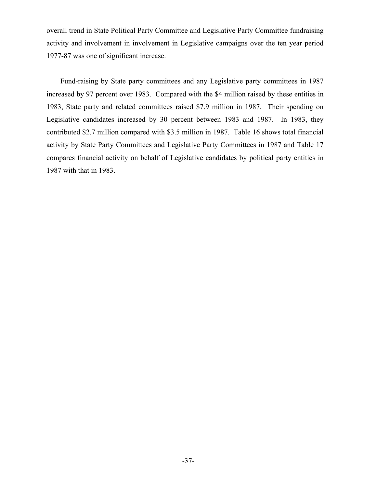overall trend in State Political Party Committee and Legislative Party Committee fundraising activity and involvement in involvement in Legislative campaigns over the ten year period 1977-87 was one of significant increase.

Fund-raising by State party committees and any Legislative party committees in 1987 increased by 97 percent over 1983. Compared with the \$4 million raised by these entities in 1983, State party and related committees raised \$7.9 million in 1987. Their spending on Legislative candidates increased by 30 percent between 1983 and 1987. In 1983, they contributed \$2.7 million compared with \$3.5 million in 1987. Table 16 shows total financial activity by State Party Committees and Legislative Party Committees in 1987 and Table 17 compares financial activity on behalf of Legislative candidates by political party entities in 1987 with that in 1983.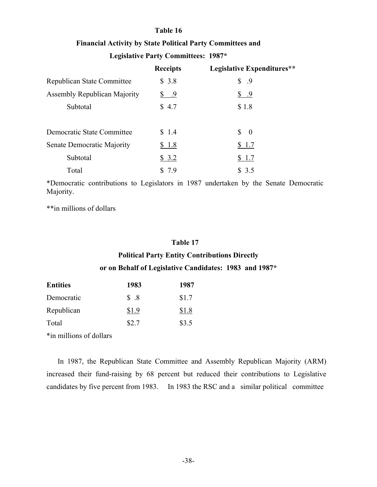## **Table 16**

## **Financial Activity by State Political Party Committees and**

## **Legislative Party Committees: 1987\***

|                                     | <b>Receipts</b>    | Legislative Expenditures**                 |
|-------------------------------------|--------------------|--------------------------------------------|
| Republican State Committee          | \$3.8              | \$.9                                       |
| <b>Assembly Republican Majority</b> | $\frac{\$}{\$}$ .9 | <u>s 9</u>                                 |
| Subtotal                            | \$4.7              | \$1.8                                      |
|                                     |                    |                                            |
| Democratic State Committee          | \$1.4              | $\mathbb{S}^-$<br>$\overline{\phantom{0}}$ |
| Senate Democratic Majority          | \$1.8              | \$1.7                                      |
| Subtotal                            | \$3.2              | \$1.7                                      |
| Total                               | \$7.9              | \$3.5                                      |

\*Democratic contributions to Legislators in 1987 undertaken by the Senate Democratic Majority.

\*\*in millions of dollars

## **Table 17**

## **Political Party Entity Contributions Directly or on Behalf of Legislative Candidates: 1983 and 1987\***

| <b>Entities</b> | 1983  | 1987  |
|-----------------|-------|-------|
| Democratic      | \$.8  | \$1.7 |
| Republican      | \$1.9 | \$1.8 |
| Total           | \$2.7 | \$3.5 |

\*in millions of dollars

In 1987, the Republican State Committee and Assembly Republican Majority (ARM) increased their fund-raising by 68 percent but reduced their contributions to Legislative candidates by five percent from 1983. In 1983 the RSC and a similar political committee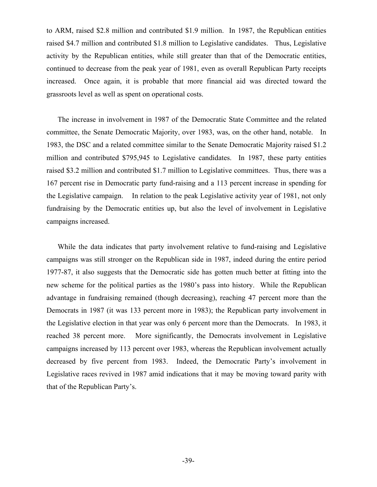to ARM, raised \$2.8 million and contributed \$1.9 million. In 1987, the Republican entities raised \$4.7 million and contributed \$1.8 million to Legislative candidates. Thus, Legislative activity by the Republican entities, while still greater than that of the Democratic entities, continued to decrease from the peak year of 1981, even as overall Republican Party receipts increased. Once again, it is probable that more financial aid was directed toward the grassroots level as well as spent on operational costs.

The increase in involvement in 1987 of the Democratic State Committee and the related committee, the Senate Democratic Majority, over 1983, was, on the other hand, notable. In 1983, the DSC and a related committee similar to the Senate Democratic Majority raised \$1.2 million and contributed \$795,945 to Legislative candidates. In 1987, these party entities raised \$3.2 million and contributed \$1.7 million to Legislative committees. Thus, there was a 167 percent rise in Democratic party fund-raising and a 113 percent increase in spending for the Legislative campaign. In relation to the peak Legislative activity year of 1981, not only fundraising by the Democratic entities up, but also the level of involvement in Legislative campaigns increased.

While the data indicates that party involvement relative to fund-raising and Legislative campaigns was still stronger on the Republican side in 1987, indeed during the entire period 1977-87, it also suggests that the Democratic side has gotten much better at fitting into the new scheme for the political parties as the 1980's pass into history. While the Republican advantage in fundraising remained (though decreasing), reaching 47 percent more than the Democrats in 1987 (it was 133 percent more in 1983); the Republican party involvement in the Legislative election in that year was only 6 percent more than the Democrats. In 1983, it reached 38 percent more. More significantly, the Democrats involvement in Legislative campaigns increased by 113 percent over 1983, whereas the Republican involvement actually decreased by five percent from 1983. Indeed, the Democratic Party's involvement in Legislative races revived in 1987 amid indications that it may be moving toward parity with that of the Republican Party's.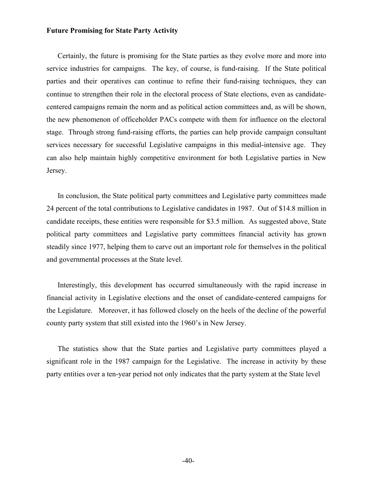#### **Future Promising for State Party Activity**

Certainly, the future is promising for the State parties as they evolve more and more into service industries for campaigns. The key, of course, is fund-raising. If the State political parties and their operatives can continue to refine their fund-raising techniques, they can continue to strengthen their role in the electoral process of State elections, even as candidatecentered campaigns remain the norm and as political action committees and, as will be shown, the new phenomenon of officeholder PACs compete with them for influence on the electoral stage. Through strong fund-raising efforts, the parties can help provide campaign consultant services necessary for successful Legislative campaigns in this medial-intensive age. They can also help maintain highly competitive environment for both Legislative parties in New Jersey.

In conclusion, the State political party committees and Legislative party committees made 24 percent of the total contributions to Legislative candidates in 1987. Out of \$14.8 million in candidate receipts, these entities were responsible for \$3.5 million. As suggested above, State political party committees and Legislative party committees financial activity has grown steadily since 1977, helping them to carve out an important role for themselves in the political and governmental processes at the State level.

Interestingly, this development has occurred simultaneously with the rapid increase in financial activity in Legislative elections and the onset of candidate-centered campaigns for the Legislature. Moreover, it has followed closely on the heels of the decline of the powerful county party system that still existed into the 1960's in New Jersey.

The statistics show that the State parties and Legislative party committees played a significant role in the 1987 campaign for the Legislative. The increase in activity by these party entities over a ten-year period not only indicates that the party system at the State level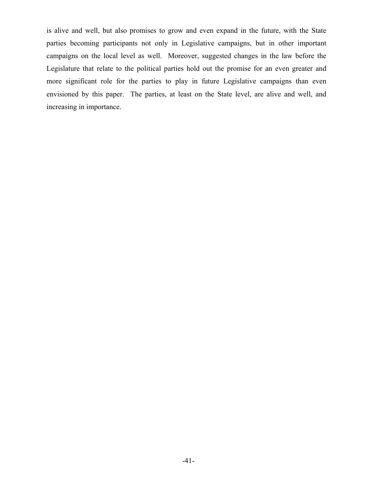is alive and well, but also promises to grow and even expand in the future, with the State parties becoming participants not only in Legislative campaigns, but in other important campaigns on the local level as well. Moreover, suggested changes in the law before the Legislature that relate to the political parties hold out the promise for an even greater and more significant role for the parties to play in future Legislative campaigns than even envisioned by this paper. The parties, at least on the State level, are alive and well, and increasing in importance.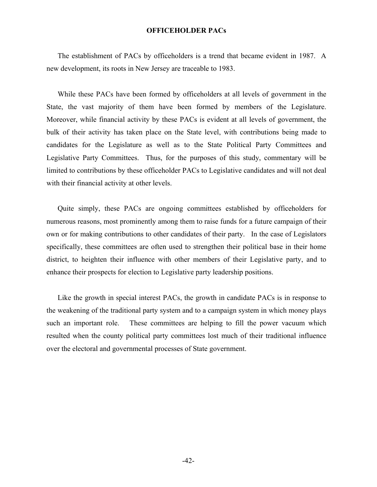## **OFFICEHOLDER PACs**

The establishment of PACs by officeholders is a trend that became evident in 1987. A new development, its roots in New Jersey are traceable to 1983.

While these PACs have been formed by officeholders at all levels of government in the State, the vast majority of them have been formed by members of the Legislature. Moreover, while financial activity by these PACs is evident at all levels of government, the bulk of their activity has taken place on the State level, with contributions being made to candidates for the Legislature as well as to the State Political Party Committees and Legislative Party Committees. Thus, for the purposes of this study, commentary will be limited to contributions by these officeholder PACs to Legislative candidates and will not deal with their financial activity at other levels.

Quite simply, these PACs are ongoing committees established by officeholders for numerous reasons, most prominently among them to raise funds for a future campaign of their own or for making contributions to other candidates of their party. In the case of Legislators specifically, these committees are often used to strengthen their political base in their home district, to heighten their influence with other members of their Legislative party, and to enhance their prospects for election to Legislative party leadership positions.

Like the growth in special interest PACs, the growth in candidate PACs is in response to the weakening of the traditional party system and to a campaign system in which money plays such an important role. These committees are helping to fill the power vacuum which resulted when the county political party committees lost much of their traditional influence over the electoral and governmental processes of State government.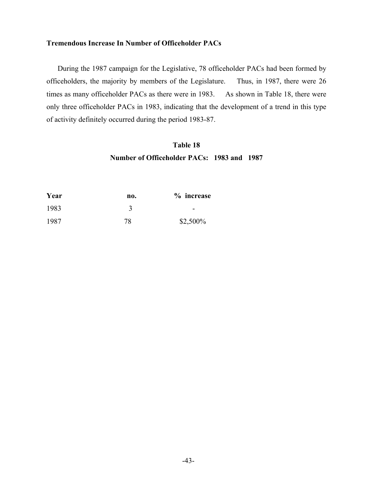## **Tremendous Increase In Number of Officeholder PACs**

During the 1987 campaign for the Legislative, 78 officeholder PACs had been formed by officeholders, the majority by members of the Legislature. Thus, in 1987, there were 26 times as many officeholder PACs as there were in 1983. As shown in Table 18, there were only three officeholder PACs in 1983, indicating that the development of a trend in this type of activity definitely occurred during the period 1983-87.

## **Table 18 Number of Officeholder PACs: 1983 and 1987**

| Year | no. | % increase |
|------|-----|------------|
| 1983 |     | -          |
| 1987 | 78  | \$2,500%   |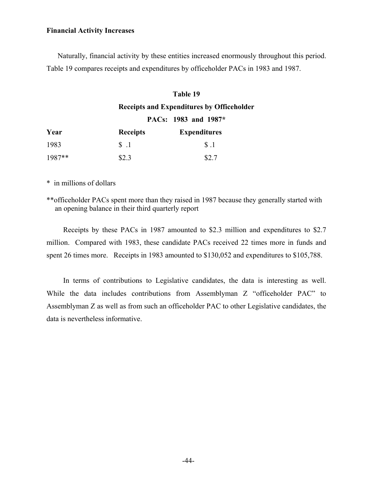## **Financial Activity Increases**

Naturally, financial activity by these entities increased enormously throughout this period. Table 19 compares receipts and expenditures by officeholder PACs in 1983 and 1987.

## **Table 19**

## **Receipts and Expenditures by Officeholder**

## **PACs: 1983 and 1987\***

| Year     | <b>Receipts</b> | <b>Expenditures</b> |
|----------|-----------------|---------------------|
| 1983     | $\$\,1$         | S.1                 |
| $1987**$ | \$2.3           | \$2.7               |

\* in millions of dollars

\*\*officeholder PACs spent more than they raised in 1987 because they generally started with an opening balance in their third quarterly report

Receipts by these PACs in 1987 amounted to \$2.3 million and expenditures to \$2.7 million. Compared with 1983, these candidate PACs received 22 times more in funds and spent 26 times more. Receipts in 1983 amounted to \$130,052 and expenditures to \$105,788.

In terms of contributions to Legislative candidates, the data is interesting as well. While the data includes contributions from Assemblyman Z "officeholder PAC" to Assemblyman Z as well as from such an officeholder PAC to other Legislative candidates, the data is nevertheless informative.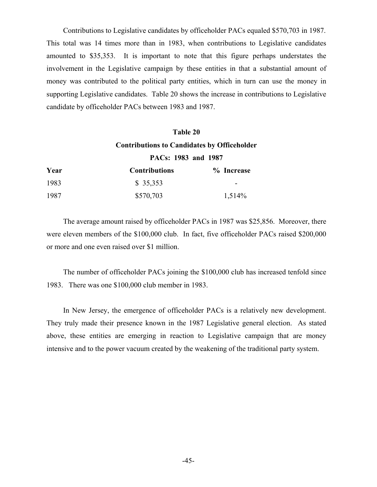Contributions to Legislative candidates by officeholder PACs equaled \$570,703 in 1987. This total was 14 times more than in 1983, when contributions to Legislative candidates amounted to \$35,353. It is important to note that this figure perhaps understates the involvement in the Legislative campaign by these entities in that a substantial amount of money was contributed to the political party entities, which in turn can use the money in supporting Legislative candidates. Table 20 shows the increase in contributions to Legislative candidate by officeholder PACs between 1983 and 1987.

## **Table 20 Contributions to Candidates by Officeholder PACs: 1983 and 1987**

| Year | <b>Contributions</b> | % Increase |
|------|----------------------|------------|
| 1983 | \$35,353             | -          |
| 1987 | \$570,703            | 1,514\%    |

The average amount raised by officeholder PACs in 1987 was \$25,856. Moreover, there were eleven members of the \$100,000 club. In fact, five officeholder PACs raised \$200,000 or more and one even raised over \$1 million.

The number of officeholder PACs joining the \$100,000 club has increased tenfold since 1983. There was one \$100,000 club member in 1983.

In New Jersey, the emergence of officeholder PACs is a relatively new development. They truly made their presence known in the 1987 Legislative general election. As stated above, these entities are emerging in reaction to Legislative campaign that are money intensive and to the power vacuum created by the weakening of the traditional party system.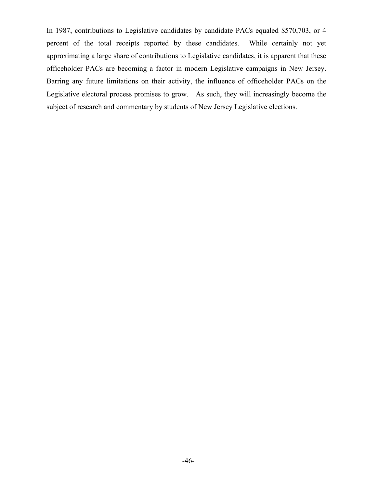In 1987, contributions to Legislative candidates by candidate PACs equaled \$570,703, or 4 percent of the total receipts reported by these candidates. While certainly not yet approximating a large share of contributions to Legislative candidates, it is apparent that these officeholder PACs are becoming a factor in modern Legislative campaigns in New Jersey. Barring any future limitations on their activity, the influence of officeholder PACs on the Legislative electoral process promises to grow. As such, they will increasingly become the subject of research and commentary by students of New Jersey Legislative elections.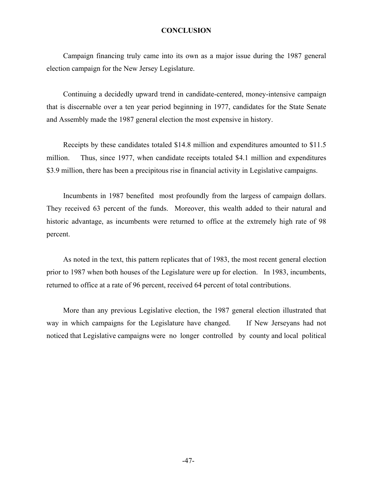## **CONCLUSION**

Campaign financing truly came into its own as a major issue during the 1987 general election campaign for the New Jersey Legislature.

Continuing a decidedly upward trend in candidate-centered, money-intensive campaign that is discernable over a ten year period beginning in 1977, candidates for the State Senate and Assembly made the 1987 general election the most expensive in history.

Receipts by these candidates totaled \$14.8 million and expenditures amounted to \$11.5 million. Thus, since 1977, when candidate receipts totaled \$4.1 million and expenditures \$3.9 million, there has been a precipitous rise in financial activity in Legislative campaigns.

Incumbents in 1987 benefited most profoundly from the largess of campaign dollars. They received 63 percent of the funds. Moreover, this wealth added to their natural and historic advantage, as incumbents were returned to office at the extremely high rate of 98 percent.

As noted in the text, this pattern replicates that of 1983, the most recent general election prior to 1987 when both houses of the Legislature were up for election. In 1983, incumbents, returned to office at a rate of 96 percent, received 64 percent of total contributions.

More than any previous Legislative election, the 1987 general election illustrated that way in which campaigns for the Legislature have changed. If New Jerseyans had not noticed that Legislative campaigns were no longer controlled by county and local political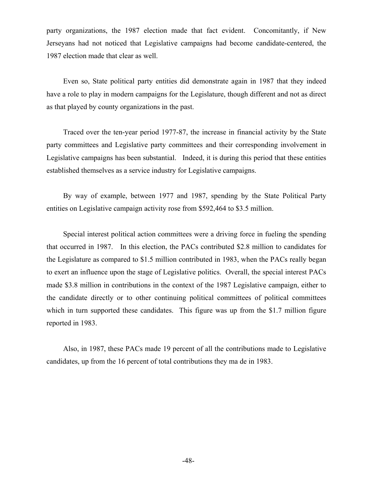party organizations, the 1987 election made that fact evident. Concomitantly, if New Jerseyans had not noticed that Legislative campaigns had become candidate-centered, the 1987 election made that clear as well.

Even so, State political party entities did demonstrate again in 1987 that they indeed have a role to play in modern campaigns for the Legislature, though different and not as direct as that played by county organizations in the past.

Traced over the ten-year period 1977-87, the increase in financial activity by the State party committees and Legislative party committees and their corresponding involvement in Legislative campaigns has been substantial. Indeed, it is during this period that these entities established themselves as a service industry for Legislative campaigns.

By way of example, between 1977 and 1987, spending by the State Political Party entities on Legislative campaign activity rose from \$592,464 to \$3.5 million.

Special interest political action committees were a driving force in fueling the spending that occurred in 1987. In this election, the PACs contributed \$2.8 million to candidates for the Legislature as compared to \$1.5 million contributed in 1983, when the PACs really began to exert an influence upon the stage of Legislative politics. Overall, the special interest PACs made \$3.8 million in contributions in the context of the 1987 Legislative campaign, either to the candidate directly or to other continuing political committees of political committees which in turn supported these candidates. This figure was up from the \$1.7 million figure reported in 1983.

Also, in 1987, these PACs made 19 percent of all the contributions made to Legislative candidates, up from the 16 percent of total contributions they ma de in 1983.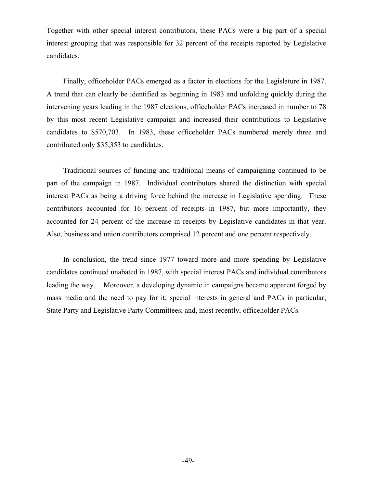Together with other special interest contributors, these PACs were a big part of a special interest grouping that was responsible for 32 percent of the receipts reported by Legislative candidates.

Finally, officeholder PACs emerged as a factor in elections for the Legislature in 1987. A trend that can clearly be identified as beginning in 1983 and unfolding quickly during the intervening years leading in the 1987 elections, officeholder PACs increased in number to 78 by this most recent Legislative campaign and increased their contributions to Legislative candidates to \$570,703. In 1983, these officeholder PACs numbered merely three and contributed only \$35,353 to candidates.

Traditional sources of funding and traditional means of campaigning continued to be part of the campaign in 1987. Individual contributors shared the distinction with special interest PACs as being a driving force behind the increase in Legislative spending. These contributors accounted for 16 percent of receipts in 1987, but more importantly, they accounted for 24 percent of the increase in receipts by Legislative candidates in that year. Also, business and union contributors comprised 12 percent and one percent respectively.

In conclusion, the trend since 1977 toward more and more spending by Legislative candidates continued unabated in 1987, with special interest PACs and individual contributors leading the way. Moreover, a developing dynamic in campaigns became apparent forged by mass media and the need to pay for it; special interests in general and PACs in particular; State Party and Legislative Party Committees; and, most recently, officeholder PACs.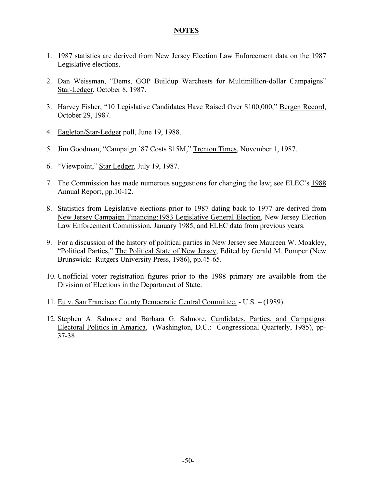## **NOTES**

- 1. 1987 statistics are derived from New Jersey Election Law Enforcement data on the 1987 Legislative elections.
- 2. Dan Weissman, "Dems, GOP Buildup Warchests for Multimillion-dollar Campaigns" Star-Ledger, October 8, 1987.
- 3. Harvey Fisher, "10 Legislative Candidates Have Raised Over \$100,000," Bergen Record, October 29, 1987.
- 4. Eagleton/Star-Ledger poll, June 19, 1988.
- 5. Jim Goodman, "Campaign '87 Costs \$15M," Trenton Times, November 1, 1987.
- 6. "Viewpoint," Star Ledger, July 19, 1987.
- 7. The Commission has made numerous suggestions for changing the law; see ELEC's 1988 Annual Report, pp.10-12.
- 8. Statistics from Legislative elections prior to 1987 dating back to 1977 are derived from New Jersey Campaign Financing:1983 Legislative General Election, New Jersey Election Law Enforcement Commission, January 1985, and ELEC data from previous years.
- 9. For a discussion of the history of political parties in New Jersey see Maureen W. Moakley, "Political Parties," The Political State of New Jersey, Edited by Gerald M. Pomper (New Brunswick: Rutgers University Press, 1986), pp.45-65.
- 10. Unofficial voter registration figures prior to the 1988 primary are available from the Division of Elections in the Department of State.
- 11. Eu v. San Francisco County Democratic Central Committee, U.S. (1989).
- 12. Stephen A. Salmore and Barbara G. Salmore, Candidates, Parties, and Campaigns: Electoral Politics in Amarica, (Washington, D.C.: Congressional Quarterly, 1985), pp-37-38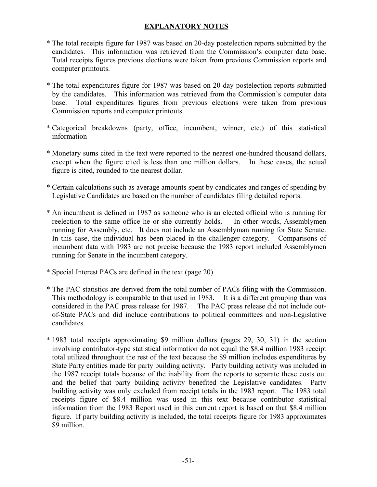## **EXPLANATORY NOTES**

- \* The total receipts figure for 1987 was based on 20-day postelection reports submitted by the candidates. This information was retrieved from the Commission's computer data base. Total receipts figures previous elections were taken from previous Commission reports and computer printouts.
- \* The total expenditures figure for 1987 was based on 20-day postelection reports submitted by the candidates. This information was retrieved from the Commission's computer data base. Total expenditures figures from previous elections were taken from previous Commission reports and computer printouts.
- \* Categorical breakdowns (party, office, incumbent, winner, etc.) of this statistical information
- \* Monetary sums cited in the text were reported to the nearest one-hundred thousand dollars, except when the figure cited is less than one million dollars. In these cases, the actual figure is cited, rounded to the nearest dollar.
- \* Certain calculations such as average amounts spent by candidates and ranges of spending by Legislative Candidates are based on the number of candidates filing detailed reports.
- \* An incumbent is defined in 1987 as someone who is an elected official who is running for reelection to the same office he or she currently holds. In other words, Assemblymen running for Assembly, etc. It does not include an Assemblyman running for State Senate. In this case, the individual has been placed in the challenger category. Comparisons of incumbent data with 1983 are not precise because the 1983 report included Assemblymen running for Senate in the incumbent category.
- \* Special Interest PACs are defined in the text (page 20).
- \* The PAC statistics are derived from the total number of PACs filing with the Commission. This methodology is comparable to that used in 1983. It is a different grouping than was considered in the PAC press release for 1987. The PAC press release did not include outof-State PACs and did include contributions to political committees and non-Legislative candidates.
- \* 1983 total receipts approximating \$9 million dollars (pages 29, 30, 31) in the section involving contributor-type statistical information do not equal the \$8.4 million 1983 receipt total utilized throughout the rest of the text because the \$9 million includes expenditures by State Party entities made for party building activity. Party building activity was included in the 1987 receipt totals because of the inability from the reports to separate these costs out and the belief that party building activity benefited the Legislative candidates. Party building activity was only excluded from receipt totals in the 1983 report. The 1983 total receipts figure of \$8.4 million was used in this text because contributor statistical information from the 1983 Report used in this current report is based on that \$8.4 million figure. If party building activity is included, the total receipts figure for 1983 approximates \$9 million.